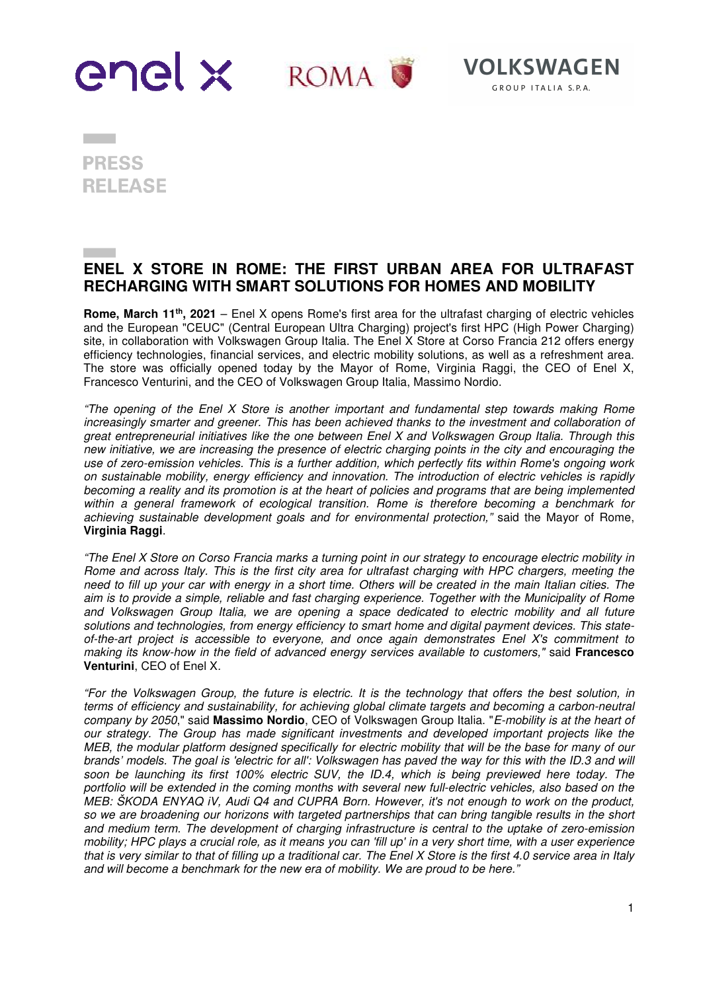

**PRESS RELEASE** 

**Contract** 

## **ENEL X STORE IN ROME: THE FIRST URBAN AREA FOR ULTRAFAST RECHARGING WITH SMART SOLUTIONS FOR HOMES AND MOBILITY**

**Rome, March 11th, 2021** – Enel X opens Rome's first area for the ultrafast charging of electric vehicles and the European "CEUC" (Central European Ultra Charging) project's first HPC (High Power Charging) site, in collaboration with Volkswagen Group Italia. The Enel X Store at Corso Francia 212 offers energy efficiency technologies, financial services, and electric mobility solutions, as well as a refreshment area. The store was officially opened today by the Mayor of Rome, Virginia Raggi, the CEO of Enel X, Francesco Venturini, and the CEO of Volkswagen Group Italia, Massimo Nordio.

"The opening of the Enel X Store is another important and fundamental step towards making Rome increasingly smarter and greener. This has been achieved thanks to the investment and collaboration of great entrepreneurial initiatives like the one between Enel X and Volkswagen Group Italia. Through this new initiative, we are increasing the presence of electric charging points in the city and encouraging the use of zero-emission vehicles. This is a further addition, which perfectly fits within Rome's ongoing work on sustainable mobility, energy efficiency and innovation. The introduction of electric vehicles is rapidly becoming a reality and its promotion is at the heart of policies and programs that are being implemented within a general framework of ecological transition. Rome is therefore becoming a benchmark for achieving sustainable development goals and for environmental protection," said the Mayor of Rome, **Virginia Raggi**.

"The Enel X Store on Corso Francia marks a turning point in our strategy to encourage electric mobility in Rome and across Italy. This is the first city area for ultrafast charging with HPC chargers, meeting the need to fill up your car with energy in a short time. Others will be created in the main Italian cities. The aim is to provide a simple, reliable and fast charging experience. Together with the Municipality of Rome and Volkswagen Group Italia, we are opening a space dedicated to electric mobility and all future solutions and technologies, from energy efficiency to smart home and digital payment devices. This stateof-the-art project is accessible to everyone, and once again demonstrates Enel X's commitment to making its know-how in the field of advanced energy services available to customers," said **Francesco Venturini**, CEO of Enel X.

"For the Volkswagen Group, the future is electric. It is the technology that offers the best solution, in terms of efficiency and sustainability, for achieving global climate targets and becoming a carbon-neutral company by 2050," said **Massimo Nordio**, CEO of Volkswagen Group Italia. "E-mobility is at the heart of our strategy. The Group has made significant investments and developed important projects like the MEB, the modular platform designed specifically for electric mobility that will be the base for many of our brands' models. The goal is 'electric for all': Volkswagen has paved the way for this with the ID.3 and will soon be launching its first 100% electric SUV, the ID.4, which is being previewed here today. The portfolio will be extended in the coming months with several new full-electric vehicles, also based on the MEB: ŠKODA ENYAQ iV, Audi Q4 and CUPRA Born. However, it's not enough to work on the product, so we are broadening our horizons with targeted partnerships that can bring tangible results in the short and medium term. The development of charging infrastructure is central to the uptake of zero-emission mobility; HPC plays a crucial role, as it means you can 'fill up' in a very short time, with a user experience that is very similar to that of filling up a traditional car. The Enel X Store is the first 4.0 service area in Italy and will become a benchmark for the new era of mobility. We are proud to be here."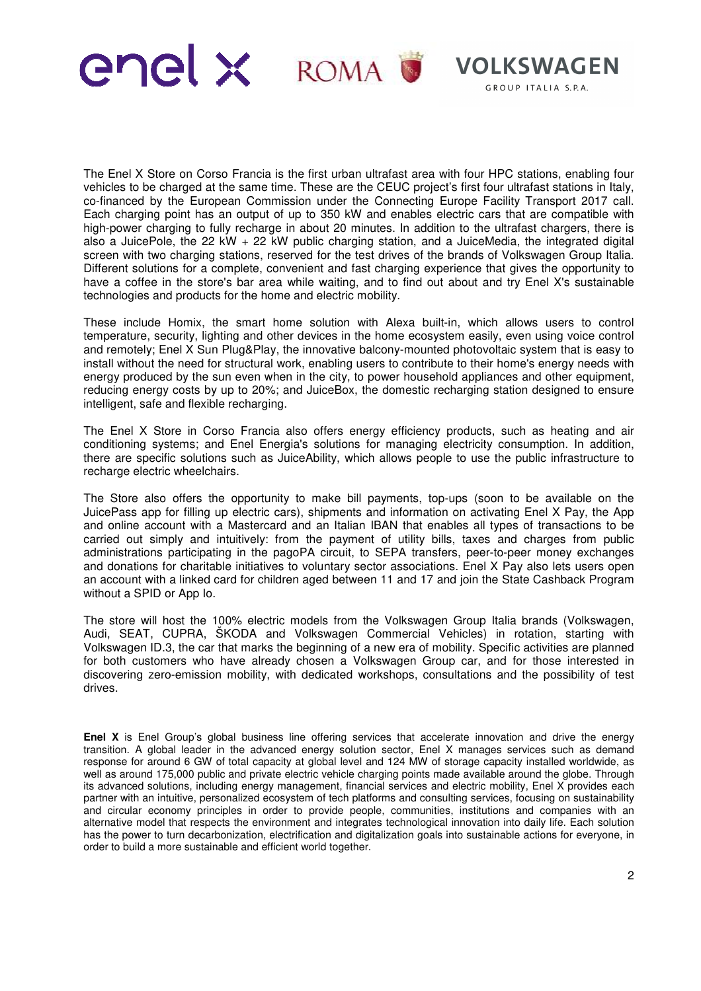

The Enel X Store on Corso Francia is the first urban ultrafast area with four HPC stations, enabling four vehicles to be charged at the same time. These are the CEUC project's first four ultrafast stations in Italy, co-financed by the European Commission under the Connecting Europe Facility Transport 2017 call. Each charging point has an output of up to 350 kW and enables electric cars that are compatible with high-power charging to fully recharge in about 20 minutes. In addition to the ultrafast chargers, there is also a JuicePole, the 22 kW + 22 kW public charging station, and a JuiceMedia, the integrated digital screen with two charging stations, reserved for the test drives of the brands of Volkswagen Group Italia. Different solutions for a complete, convenient and fast charging experience that gives the opportunity to have a coffee in the store's bar area while waiting, and to find out about and try Enel X's sustainable technologies and products for the home and electric mobility.

These include Homix, the smart home solution with Alexa built-in, which allows users to control temperature, security, lighting and other devices in the home ecosystem easily, even using voice control and remotely; Enel X Sun Plug&Play, the innovative balcony-mounted photovoltaic system that is easy to install without the need for structural work, enabling users to contribute to their home's energy needs with energy produced by the sun even when in the city, to power household appliances and other equipment, reducing energy costs by up to 20%; and JuiceBox, the domestic recharging station designed to ensure intelligent, safe and flexible recharging.

The Enel X Store in Corso Francia also offers energy efficiency products, such as heating and air conditioning systems; and Enel Energia's solutions for managing electricity consumption. In addition, there are specific solutions such as JuiceAbility, which allows people to use the public infrastructure to recharge electric wheelchairs.

The Store also offers the opportunity to make bill payments, top-ups (soon to be available on the JuicePass app for filling up electric cars), shipments and information on activating Enel X Pay, the App and online account with a Mastercard and an Italian IBAN that enables all types of transactions to be carried out simply and intuitively: from the payment of utility bills, taxes and charges from public administrations participating in the pagoPA circuit, to SEPA transfers, peer-to-peer money exchanges and donations for charitable initiatives to voluntary sector associations. Enel X Pay also lets users open an account with a linked card for children aged between 11 and 17 and join the State Cashback Program without a SPID or App Io.

The store will host the 100% electric models from the Volkswagen Group Italia brands (Volkswagen, Audi, SEAT, CUPRA, ŠKODA and Volkswagen Commercial Vehicles) in rotation, starting with Volkswagen ID.3, the car that marks the beginning of a new era of mobility. Specific activities are planned for both customers who have already chosen a Volkswagen Group car, and for those interested in discovering zero-emission mobility, with dedicated workshops, consultations and the possibility of test drives.

**Enel X** is Enel Group's global business line offering services that accelerate innovation and drive the energy transition. A global leader in the advanced energy solution sector, Enel X manages services such as demand response for around 6 GW of total capacity at global level and 124 MW of storage capacity installed worldwide, as well as around 175,000 public and private electric vehicle charging points made available around the globe. Through its advanced solutions, including energy management, financial services and electric mobility, Enel X provides each partner with an intuitive, personalized ecosystem of tech platforms and consulting services, focusing on sustainability and circular economy principles in order to provide people, communities, institutions and companies with an alternative model that respects the environment and integrates technological innovation into daily life. Each solution has the power to turn decarbonization, electrification and digitalization goals into sustainable actions for everyone, in order to build a more sustainable and efficient world together.